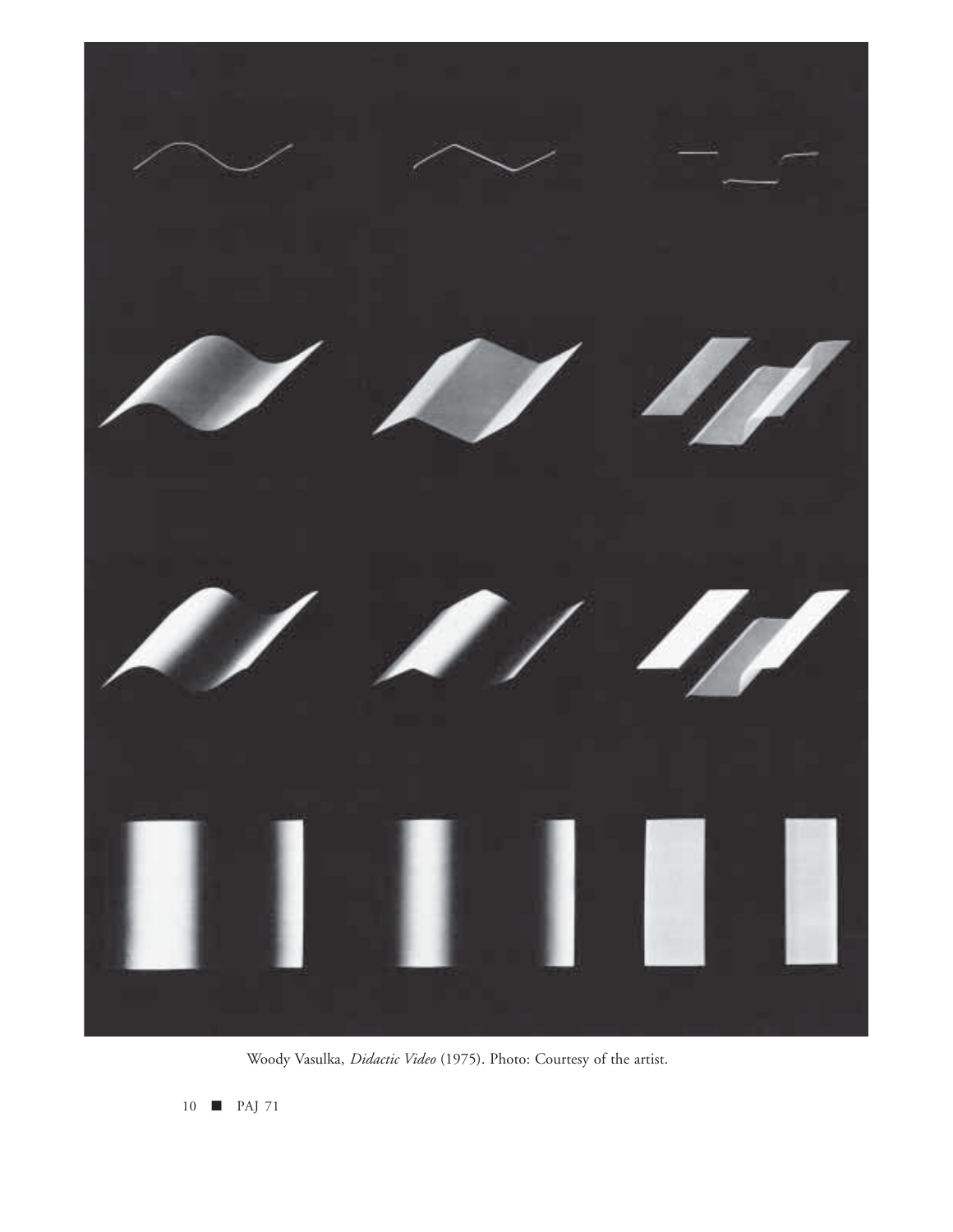

Woody Vasulka, *Didactic Video* (1975). Photo: Courtesy of the artist.

10 ■ PAJ 71